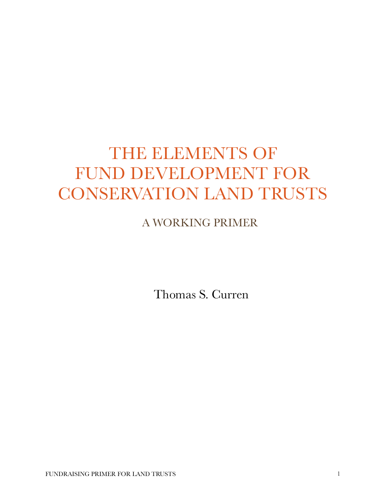## THE ELEMENTS OF FUND DEVELOPMENT FOR CONSERVATION LAND TRUSTS

## A WORKING PRIMER

Thomas S. Curren

FUNDRAISING PRIMER FOR LAND TRUSTS 1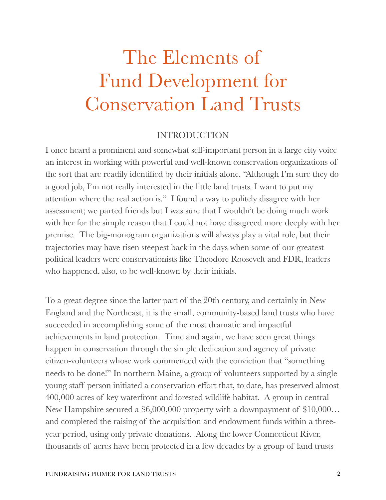# The Elements of Fund Development for Conservation Land Trusts

#### INTRODUCTION

I once heard a prominent and somewhat self-important person in a large city voice an interest in working with powerful and well-known conservation organizations of the sort that are readily identified by their initials alone. "Although I'm sure they do a good job, I'm not really interested in the little land trusts. I want to put my attention where the real action is." I found a way to politely disagree with her assessment; we parted friends but I was sure that I wouldn't be doing much work with her for the simple reason that I could not have disagreed more deeply with her premise. The big-monogram organizations will always play a vital role, but their trajectories may have risen steepest back in the days when some of our greatest political leaders were conservationists like Theodore Roosevelt and FDR, leaders who happened, also, to be well-known by their initials.

To a great degree since the latter part of the 20th century, and certainly in New England and the Northeast, it is the small, community-based land trusts who have succeeded in accomplishing some of the most dramatic and impactful achievements in land protection. Time and again, we have seen great things happen in conservation through the simple dedication and agency of private citizen-volunteers whose work commenced with the conviction that "something needs to be done!" In northern Maine, a group of volunteers supported by a single young staff person initiated a conservation effort that, to date, has preserved almost 400,000 acres of key waterfront and forested wildlife habitat. A group in central New Hampshire secured a \$6,000,000 property with a downpayment of \$10,000… and completed the raising of the acquisition and endowment funds within a threeyear period, using only private donations. Along the lower Connecticut River, thousands of acres have been protected in a few decades by a group of land trusts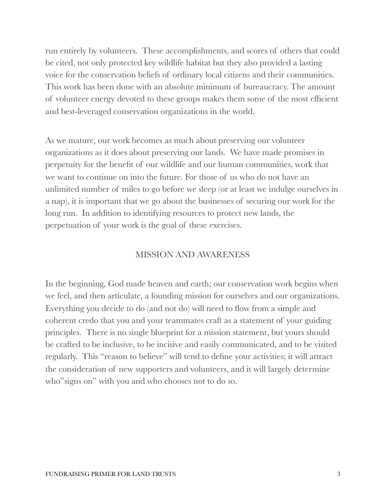run entirely by volunteers. These accomplishments, and scores of others that could be cited, not only protected key wildlife habitat but they also provided a lasting voice for the conservation beliefs of ordinary local citizens and their communities. This work has been done with an absolute minimum of bureaucracy. The amount of volunteer energy devoted to these groups makes them some of the most efficient and best-leveraged conservation organizations in the world.

As we mature, our work becomes as much about preserving our volunteer organizations as it does about preserving our lands. We have made promises in perpetuity for the benefit of our wildlife and our human communities, work that we want to continue on into the future. For those of us who do not have an unlimited number of miles to go before we sleep (or at least we indulge ourselves in a nap), it is important that we go about the businesses of securing our work for the long run. In addition to identifying resources to protect new lands, the perpetuation of your work is the goal of these exercises.

## MISSION AND AWARENESS

In the beginning, God made heaven and earth; our conservation work begins when we feel, and then articulate, a founding mission for ourselves and our organizations. Everything you decide to do (and not do) will need to flow from a simple and coherent credo that you and your teammates craft as a statement of your guiding principles. There is no single blueprint for a mission statement, but yours should be crafted to be inclusive, to be incisive and easily communicated, and to be visited regularly. This "reason to believe" will tend to define your activities; it will attract the consideration of new supporters and volunteers, and it will largely determine who"signs on" with you and who chooses not to do so.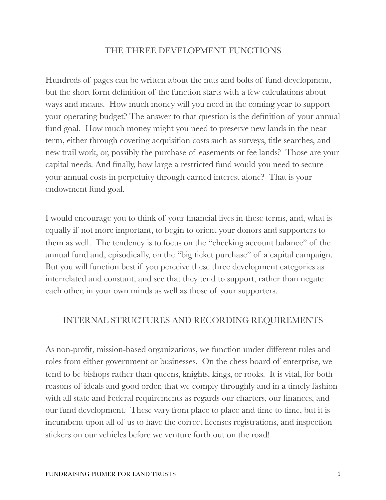#### THE THREE DEVELOPMENT FUNCTIONS

Hundreds of pages can be written about the nuts and bolts of fund development, but the short form definition of the function starts with a few calculations about ways and means. How much money will you need in the coming year to support your operating budget? The answer to that question is the definition of your annual fund goal. How much money might you need to preserve new lands in the near term, either through covering acquisition costs such as surveys, title searches, and new trail work, or, possibly the purchase of easements or fee lands? Those are your capital needs. And finally, how large a restricted fund would you need to secure your annual costs in perpetuity through earned interest alone? That is your endowment fund goal.

I would encourage you to think of your financial lives in these terms, and, what is equally if not more important, to begin to orient your donors and supporters to them as well. The tendency is to focus on the "checking account balance" of the annual fund and, episodically, on the "big ticket purchase" of a capital campaign. But you will function best if you perceive these three development categories as interrelated and constant, and see that they tend to support, rather than negate each other, in your own minds as well as those of your supporters.

#### INTERNAL STRUCTURES AND RECORDING REQUIREMENTS

As non-profit, mission-based organizations, we function under different rules and roles from either government or businesses. On the chess board of enterprise, we tend to be bishops rather than queens, knights, kings, or rooks. It is vital, for both reasons of ideals and good order, that we comply throughly and in a timely fashion with all state and Federal requirements as regards our charters, our finances, and our fund development. These vary from place to place and time to time, but it is incumbent upon all of us to have the correct licenses registrations, and inspection stickers on our vehicles before we venture forth out on the road!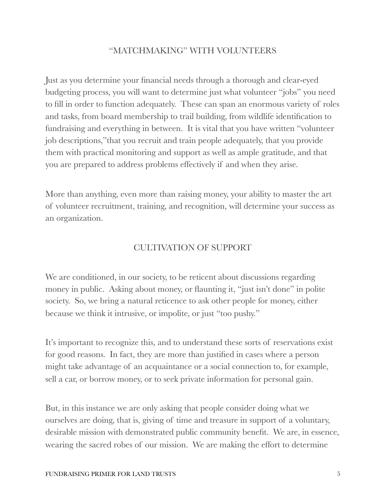## "MATCHMAKING" WITH VOLUNTEERS

Just as you determine your financial needs through a thorough and clear-eyed budgeting process, you will want to determine just what volunteer "jobs" you need to fill in order to function adequately. These can span an enormous variety of roles and tasks, from board membership to trail building, from wildlife identification to fundraising and everything in between. It is vital that you have written "volunteer job descriptions,"that you recruit and train people adequately, that you provide them with practical monitoring and support as well as ample gratitude, and that you are prepared to address problems effectively if and when they arise.

More than anything, even more than raising money, your ability to master the art of volunteer recruitment, training, and recognition, will determine your success as an organization.

## CULTIVATION OF SUPPORT

We are conditioned, in our society, to be reticent about discussions regarding money in public. Asking about money, or flaunting it, "just isn't done" in polite society. So, we bring a natural reticence to ask other people for money, either because we think it intrusive, or impolite, or just "too pushy."

It's important to recognize this, and to understand these sorts of reservations exist for good reasons. In fact, they are more than justified in cases where a person might take advantage of an acquaintance or a social connection to, for example, sell a car, or borrow money, or to seek private information for personal gain.

But, in this instance we are only asking that people consider doing what we ourselves are doing, that is, giving of time and treasure in support of a voluntary, desirable mission with demonstrated public community benefit. We are, in essence, wearing the sacred robes of our mission. We are making the effort to determine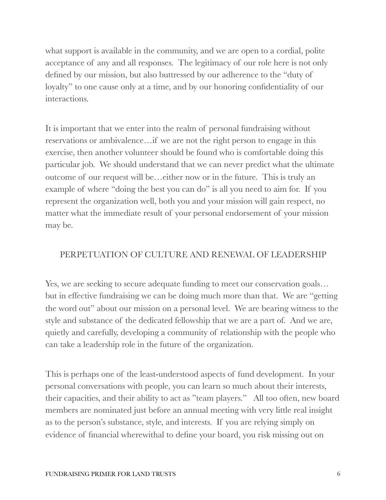what support is available in the community, and we are open to a cordial, polite acceptance of any and all responses. The legitimacy of our role here is not only defined by our mission, but also buttressed by our adherence to the "duty of loyalty" to one cause only at a time, and by our honoring confidentiality of our interactions.

It is important that we enter into the realm of personal fundraising without reservations or ambivalence…if we are not the right person to engage in this exercise, then another volunteer should be found who is comfortable doing this particular job. We should understand that we can never predict what the ultimate outcome of our request will be…either now or in the future. This is truly an example of where "doing the best you can do" is all you need to aim for. If you represent the organization well, both you and your mission will gain respect, no matter what the immediate result of your personal endorsement of your mission may be.

## PERPETUATION OF CULTURE AND RENEWAL OF LEADERSHIP

Yes, we are seeking to secure adequate funding to meet our conservation goals… but in effective fundraising we can be doing much more than that. We are "getting the word out" about our mission on a personal level. We are bearing witness to the style and substance of the dedicated fellowship that we are a part of. And we are, quietly and carefully, developing a community of relationship with the people who can take a leadership role in the future of the organization.

This is perhaps one of the least-understood aspects of fund development. In your personal conversations with people, you can learn so much about their interests, their capacities, and their ability to act as "team players." All too often, new board members are nominated just before an annual meeting with very little real insight as to the person's substance, style, and interests. If you are relying simply on evidence of financial wherewithal to define your board, you risk missing out on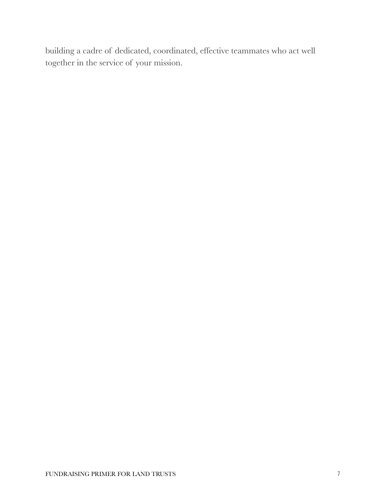building a cadre of dedicated, coordinated, effective teammates who act well together in the service of your mission.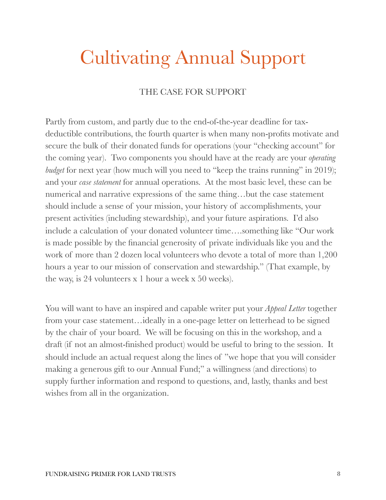## Cultivating Annual Support

## THE CASE FOR SUPPORT

Partly from custom, and partly due to the end-of-the-year deadline for taxdeductible contributions, the fourth quarter is when many non-profits motivate and secure the bulk of their donated funds for operations (your "checking account" for the coming year). Two components you should have at the ready are your *operating budget* for next year (how much will you need to "keep the trains running" in 2019); and your *case statement* for annual operations. At the most basic level, these can be numerical and narrative expressions of the same thing…but the case statement should include a sense of your mission, your history of accomplishments, your present activities (including stewardship), and your future aspirations. I'd also include a calculation of your donated volunteer time….something like "Our work is made possible by the financial generosity of private individuals like you and the work of more than 2 dozen local volunteers who devote a total of more than 1,200 hours a year to our mission of conservation and stewardship." (That example, by the way, is 24 volunteers x 1 hour a week x 50 weeks).

You will want to have an inspired and capable writer put your *Appeal Letter* together from your case statement…ideally in a one-page letter on letterhead to be signed by the chair of your board. We will be focusing on this in the workshop, and a draft (if not an almost-finished product) would be useful to bring to the session. It should include an actual request along the lines of "we hope that you will consider making a generous gift to our Annual Fund;" a willingness (and directions) to supply further information and respond to questions, and, lastly, thanks and best wishes from all in the organization.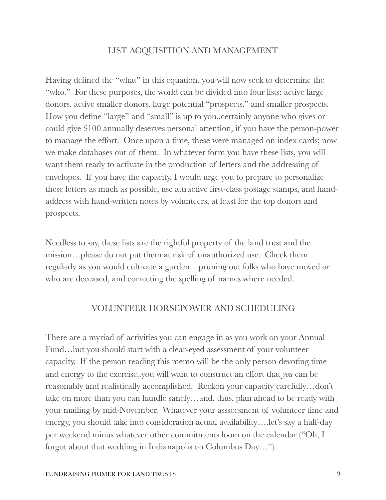### LIST ACQUISITION AND MANAGEMENT

Having defined the "what" in this equation, you will now seek to determine the "who." For these purposes, the world can be divided into four lists: active large donors, active smaller donors, large potential "prospects," and smaller prospects. How you define "large" and "small" is up to you..certainly anyone who gives or could give \$100 annually deserves personal attention, if you have the person-power to manage the effort. Once upon a time, these were managed on index cards; now we make databases out of them. In whatever form you have these lists, you will want them ready to activate in the production of letters and the addressing of envelopes. If you have the capacity, I would urge you to prepare to personalize these letters as much as possible, use attractive first-class postage stamps, and handaddress with hand-written notes by volunteers, at least for the top donors and prospects.

Needless to say, these lists are the rightful property of the land trust and the mission…please do not put them at risk of unauthorized use. Check them regularly as you would cultivate a garden…pruning out folks who have moved or who are deceased, and correcting the spelling of names where needed.

#### VOLUNTEER HORSEPOWER AND SCHEDULING

There are a myriad of activities you can engage in as you work on your Annual Fund…but you should start with a clear-eyed assessment of your volunteer capacity. If the person reading this memo will be the only person devoting time and energy to the exercise..you will want to construct an effort that *you* can be reasonably and realistically accomplished. Reckon your capacity carefully…don't take on more than you can handle sanely…and, thus, plan ahead to be ready with your mailing by mid-November. Whatever your assseesment of volunteer time and energy, you should take into consideration actual availability….let's say a half-day per weekend minus whatever other commitments loom on the calendar ("Oh, I forgot about that wedding in Indianapolis on Columbus Day…")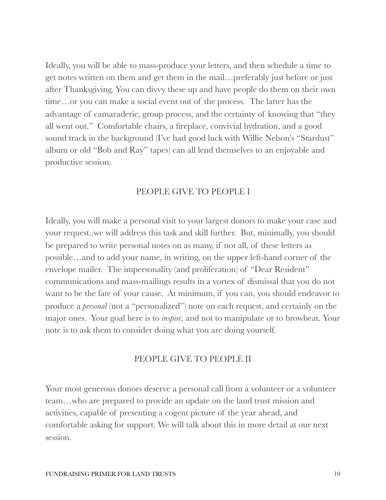Ideally, you will be able to mass-produce your letters, and then schedule a time to get notes written on them and get them in the mail…preferably just before or just after Thanksgiving. You can divvy these up and have people do them on their own time…or you can make a social event out of the process. The latter has the advantage of camaraderie, group process, and the certainty of knowing that "they all went out." Comfortable chairs, a fireplace, convivial hydration, and a good sound track in the background (I've had good luck with Willie Nelson's "Stardust" album or old "Bob and Ray" tapes) can all lend themselves to an enjoyable and productive session.

### PEOPLE GIVE TO PEOPLE I

Ideally, you will make a personal visit to your largest donors to make your case and your request..we will address this task and skill further. But, minimally, you should be prepared to write personal notes on as many, if not all, of these letters as possible…and to add your name, in writing, on the upper left-hand corner of the envelope mailer. The impersonality (and proliferation) of "Dear Resident" communications and mass-mailings results in a vortex of dismissal that you do not want to be the fate of your cause. At minimum, if you can, you should endeavor to produce a *personal* (not a "personalized") note on each request, and certainly on the major ones. Your goal here is to *inspire*, and not to manipulate or to browbeat. Your note is to ask them to consider doing what you are doing yourself.

#### PEOPLE GIVE TO PEOPLE II

Your most generous donors deserve a personal call from a volunteer or a volunteer team…who are prepared to provide an update on the land trust mission and activities, capable of presenting a cogent picture of the year ahead, and comfortable asking for support. We will talk about this in more detail at our next session.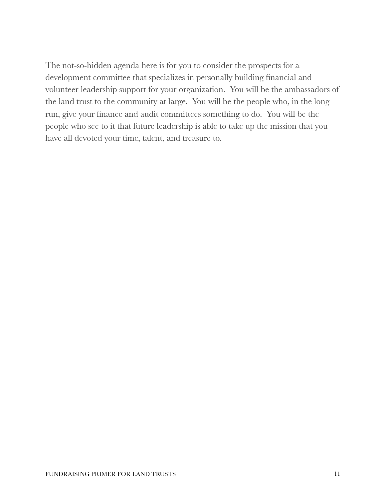The not-so-hidden agenda here is for you to consider the prospects for a development committee that specializes in personally building financial and volunteer leadership support for your organization. You will be the ambassadors of the land trust to the community at large. You will be the people who, in the long run, give your finance and audit committees something to do. You will be the people who see to it that future leadership is able to take up the mission that you have all devoted your time, talent, and treasure to.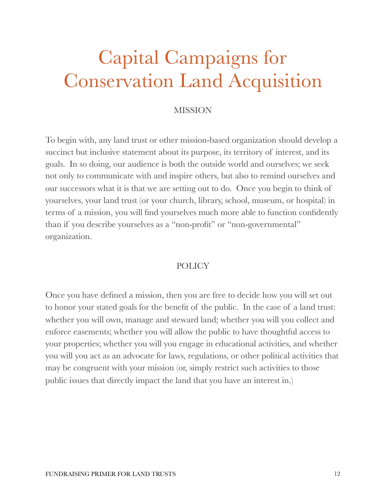## Capital Campaigns for Conservation Land Acquisition

## MISSION

To begin with, any land trust or other mission-based organization should develop a succinct but inclusive statement about its purpose, its territory of interest, and its goals. In so doing, our audience is both the outside world and ourselves; we seek not only to communicate with and inspire others, but also to remind ourselves and our successors what it is that we are setting out to do. Once you begin to think of yourselves, your land trust (or your church, library, school, museum, or hospital) in terms of a mission, you will find yourselves much more able to function confidently than if you describe yourselves as a "non-profit" or "non-governmental" organization.

#### POLICY

Once you have defined a mission, then you are free to decide how you will set out to honor your stated goals for the benefit of the public. In the case of a land trust: whether you will own, manage and steward land; whether you will you collect and enforce easements; whether you will allow the public to have thoughtful access to your properties; whether you will you engage in educational activities, and whether you will you act as an advocate for laws, regulations, or other political activities that may be congruent with your mission (or, simply restrict such activities to those public issues that directly impact the land that you have an interest in.)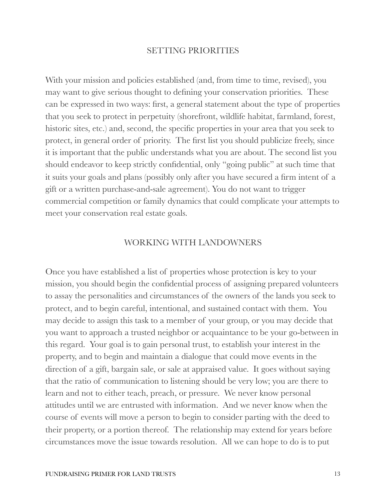#### SETTING PRIORITIES

With your mission and policies established (and, from time to time, revised), you may want to give serious thought to defining your conservation priorities. These can be expressed in two ways: first, a general statement about the type of properties that you seek to protect in perpetuity (shorefront, wildlife habitat, farmland, forest, historic sites, etc.) and, second, the specific properties in your area that you seek to protect, in general order of priority. The first list you should publicize freely, since it is important that the public understands what you are about. The second list you should endeavor to keep strictly confidential, only "going public" at such time that it suits your goals and plans (possibly only after you have secured a firm intent of a gift or a written purchase-and-sale agreement). You do not want to trigger commercial competition or family dynamics that could complicate your attempts to meet your conservation real estate goals.

#### WORKING WITH LANDOWNERS

Once you have established a list of properties whose protection is key to your mission, you should begin the confidential process of assigning prepared volunteers to assay the personalities and circumstances of the owners of the lands you seek to protect, and to begin careful, intentional, and sustained contact with them. You may decide to assign this task to a member of your group, or you may decide that you want to approach a trusted neighbor or acquaintance to be your go-between in this regard. Your goal is to gain personal trust, to establish your interest in the property, and to begin and maintain a dialogue that could move events in the direction of a gift, bargain sale, or sale at appraised value. It goes without saying that the ratio of communication to listening should be very low; you are there to learn and not to either teach, preach, or pressure. We never know personal attitudes until we are entrusted with information. And we never know when the course of events will move a person to begin to consider parting with the deed to their property, or a portion thereof. The relationship may extend for years before circumstances move the issue towards resolution. All we can hope to do is to put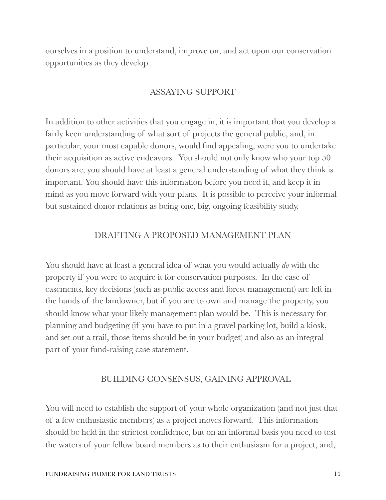ourselves in a position to understand, improve on, and act upon our conservation opportunities as they develop.

## ASSAYING SUPPORT

In addition to other activities that you engage in, it is important that you develop a fairly keen understanding of what sort of projects the general public, and, in particular, your most capable donors, would find appealing, were you to undertake their acquisition as active endeavors. You should not only know who your top 50 donors are, you should have at least a general understanding of what they think is important. You should have this information before you need it, and keep it in mind as you move forward with your plans. It is possible to perceive your informal but sustained donor relations as being one, big, ongoing feasibility study.

## DRAFTING A PROPOSED MANAGEMENT PLAN

You should have at least a general idea of what you would actually *do* with the property if you were to acquire it for conservation purposes. In the case of easements, key decisions (such as public access and forest management) are left in the hands of the landowner, but if you are to own and manage the property, you should know what your likely management plan would be. This is necessary for planning and budgeting (if you have to put in a gravel parking lot, build a kiosk, and set out a trail, those items should be in your budget) and also as an integral part of your fund-raising case statement.

#### BUILDING CONSENSUS, GAINING APPROVAL

You will need to establish the support of your whole organization (and not just that of a few enthusiastic members) as a project moves forward. This information should be held in the strictest confidence, but on an informal basis you need to test the waters of your fellow board members as to their enthusiasm for a project, and,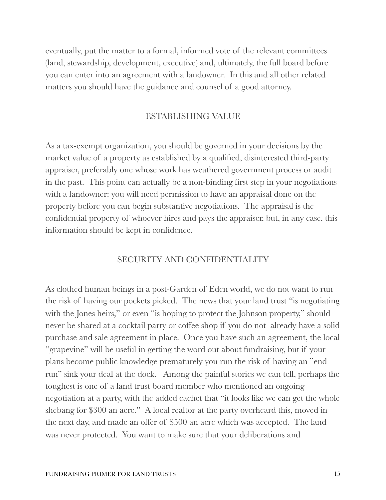eventually, put the matter to a formal, informed vote of the relevant committees (land, stewardship, development, executive) and, ultimately, the full board before you can enter into an agreement with a landowner. In this and all other related matters you should have the guidance and counsel of a good attorney.

#### ESTABLISHING VALUE

As a tax-exempt organization, you should be governed in your decisions by the market value of a property as established by a qualified, disinterested third-party appraiser, preferably one whose work has weathered government process or audit in the past. This point can actually be a non-binding first step in your negotiations with a landowner: you will need permission to have an appraisal done on the property before you can begin substantive negotiations. The appraisal is the confidential property of whoever hires and pays the appraiser, but, in any case, this information should be kept in confidence.

#### SECURITY AND CONFIDENTIALITY

As clothed human beings in a post-Garden of Eden world, we do not want to run the risk of having our pockets picked. The news that your land trust "is negotiating with the Jones heirs," or even "is hoping to protect the Johnson property," should never be shared at a cocktail party or coffee shop if you do not already have a solid purchase and sale agreement in place. Once you have such an agreement, the local "grapevine" will be useful in getting the word out about fundraising, but if your plans become public knowledge prematurely you run the risk of having an "end run" sink your deal at the dock. Among the painful stories we can tell, perhaps the toughest is one of a land trust board member who mentioned an ongoing negotiation at a party, with the added cachet that "it looks like we can get the whole shebang for \$300 an acre." A local realtor at the party overheard this, moved in the next day, and made an offer of \$500 an acre which was accepted. The land was never protected. You want to make sure that your deliberations and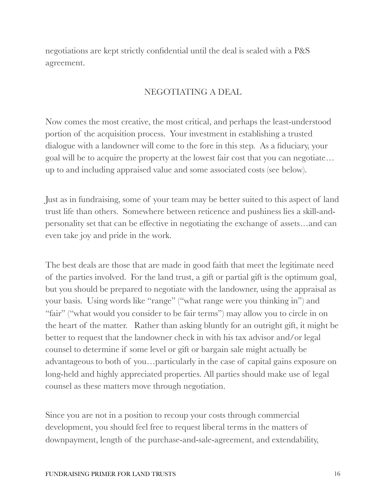negotiations are kept strictly confidential until the deal is sealed with a P&S agreement.

## NEGOTIATING A DEAL

Now comes the most creative, the most critical, and perhaps the least-understood portion of the acquisition process. Your investment in establishing a trusted dialogue with a landowner will come to the fore in this step. As a fiduciary, your goal will be to acquire the property at the lowest fair cost that you can negotiate… up to and including appraised value and some associated costs (see below).

Just as in fundraising, some of your team may be better suited to this aspect of land trust life than others. Somewhere between reticence and pushiness lies a skill-andpersonality set that can be effective in negotiating the exchange of assets…and can even take joy and pride in the work.

The best deals are those that are made in good faith that meet the legitimate need of the parties involved. For the land trust, a gift or partial gift is the optimum goal, but you should be prepared to negotiate with the landowner, using the appraisal as your basis. Using words like "range" ("what range were you thinking in") and "fair" ("what would you consider to be fair terms") may allow you to circle in on the heart of the matter. Rather than asking bluntly for an outright gift, it might be better to request that the landowner check in with his tax advisor and/or legal counsel to determine if some level or gift or bargain sale might actually be advantageous to both of you…particularly in the case of capital gains exposure on long-held and highly appreciated properties. All parties should make use of legal counsel as these matters move through negotiation.

Since you are not in a position to recoup your costs through commercial development, you should feel free to request liberal terms in the matters of downpayment, length of the purchase-and-sale-agreement, and extendability,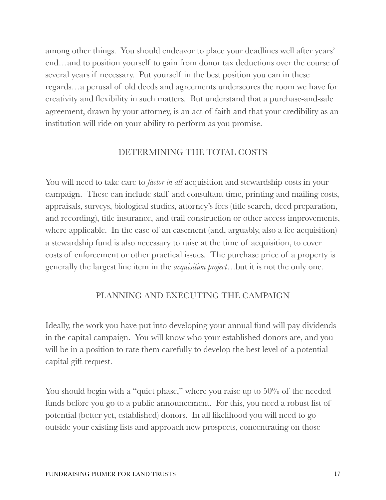among other things. You should endeavor to place your deadlines well after years' end…and to position yourself to gain from donor tax deductions over the course of several years if necessary. Put yourself in the best position you can in these regards…a perusal of old deeds and agreements underscores the room we have for creativity and flexibility in such matters. But understand that a purchase-and-sale agreement, drawn by your attorney, is an act of faith and that your credibility as an institution will ride on your ability to perform as you promise.

## DETERMINING THE TOTAL COSTS

You will need to take care to *factor in all* acquisition and stewardship costs in your campaign. These can include staff and consultant time, printing and mailing costs, appraisals, surveys, biological studies, attorney's fees (title search, deed preparation, and recording), title insurance, and trail construction or other access improvements, where applicable. In the case of an easement (and, arguably, also a fee acquisition) a stewardship fund is also necessary to raise at the time of acquisition, to cover costs of enforcement or other practical issues. The purchase price of a property is generally the largest line item in the *acquisition project*…but it is not the only one.

## PLANNING AND EXECUTING THE CAMPAIGN

Ideally, the work you have put into developing your annual fund will pay dividends in the capital campaign. You will know who your established donors are, and you will be in a position to rate them carefully to develop the best level of a potential capital gift request.

You should begin with a "quiet phase," where you raise up to 50% of the needed funds before you go to a public announcement. For this, you need a robust list of potential (better yet, established) donors. In all likelihood you will need to go outside your existing lists and approach new prospects, concentrating on those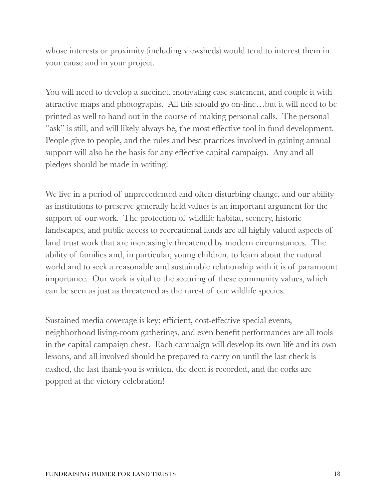whose interests or proximity (including viewsheds) would tend to interest them in your cause and in your project.

You will need to develop a succinct, motivating case statement, and couple it with attractive maps and photographs. All this should go on-line…but it will need to be printed as well to hand out in the course of making personal calls. The personal "ask" is still, and will likely always be, the most effective tool in fund development. People give to people, and the rules and best practices involved in gaining annual support will also be the basis for any effective capital campaign. Any and all pledges should be made in writing!

We live in a period of unprecedented and often disturbing change, and our ability as institutions to preserve generally held values is an important argument for the support of our work. The protection of wildlife habitat, scenery, historic landscapes, and public access to recreational lands are all highly valued aspects of land trust work that are increasingly threatened by modern circumstances. The ability of families and, in particular, young children, to learn about the natural world and to seek a reasonable and sustainable relationship with it is of paramount importance. Our work is vital to the securing of these community values, which can be seen as just as threatened as the rarest of our wildlife species.

Sustained media coverage is key; efficient, cost-effective special events, neighborhood living-room gatherings, and even benefit performances are all tools in the capital campaign chest. Each campaign will develop its own life and its own lessons, and all involved should be prepared to carry on until the last check is cashed, the last thank-you is written, the deed is recorded, and the corks are popped at the victory celebration!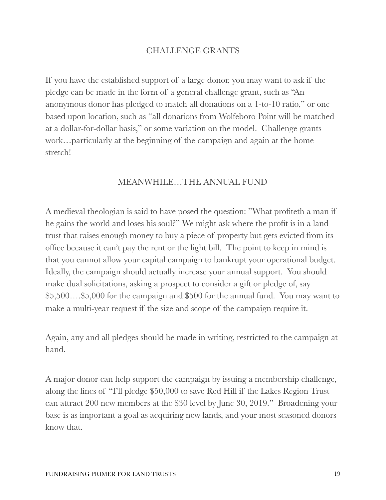### CHALLENGE GRANTS

If you have the established support of a large donor, you may want to ask if the pledge can be made in the form of a general challenge grant, such as "An anonymous donor has pledged to match all donations on a 1-to-10 ratio," or one based upon location, such as "all donations from Wolfeboro Point will be matched at a dollar-for-dollar basis," or some variation on the model. Challenge grants work…particularly at the beginning of the campaign and again at the home stretch!

### MEANWHILE…THE ANNUAL FUND

A medieval theologian is said to have posed the question: "What profiteth a man if he gains the world and loses his soul?" We might ask where the profit is in a land trust that raises enough money to buy a piece of property but gets evicted from its office because it can't pay the rent or the light bill. The point to keep in mind is that you cannot allow your capital campaign to bankrupt your operational budget. Ideally, the campaign should actually increase your annual support. You should make dual solicitations, asking a prospect to consider a gift or pledge of, say \$5,500….\$5,000 for the campaign and \$500 for the annual fund. You may want to make a multi-year request if the size and scope of the campaign require it.

Again, any and all pledges should be made in writing, restricted to the campaign at hand.

A major donor can help support the campaign by issuing a membership challenge, along the lines of "I'll pledge \$50,000 to save Red Hill if the Lakes Region Trust can attract 200 new members at the \$30 level by June 30, 2019." Broadening your base is as important a goal as acquiring new lands, and your most seasoned donors know that.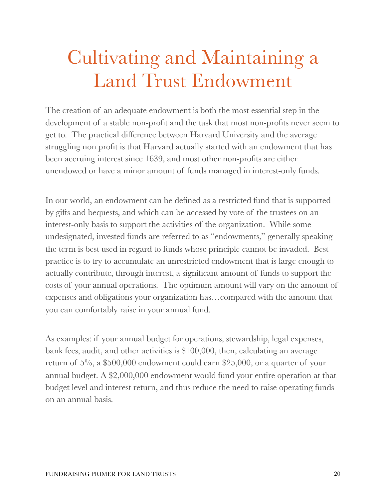# Cultivating and Maintaining a Land Trust Endowment

The creation of an adequate endowment is both the most essential step in the development of a stable non-profit and the task that most non-profits never seem to get to. The practical difference between Harvard University and the average struggling non profit is that Harvard actually started with an endowment that has been accruing interest since 1639, and most other non-profits are either unendowed or have a minor amount of funds managed in interest-only funds.

In our world, an endowment can be defined as a restricted fund that is supported by gifts and bequests, and which can be accessed by vote of the trustees on an interest-only basis to support the activities of the organization. While some undesignated, invested funds are referred to as "endowments," generally speaking the term is best used in regard to funds whose principle cannot be invaded. Best practice is to try to accumulate an unrestricted endowment that is large enough to actually contribute, through interest, a significant amount of funds to support the costs of your annual operations. The optimum amount will vary on the amount of expenses and obligations your organization has…compared with the amount that you can comfortably raise in your annual fund.

As examples: if your annual budget for operations, stewardship, legal expenses, bank fees, audit, and other activities is \$100,000, then, calculating an average return of 5%, a \$500,000 endowment could earn \$25,000, or a quarter of your annual budget. A \$2,000,000 endowment would fund your entire operation at that budget level and interest return, and thus reduce the need to raise operating funds on an annual basis.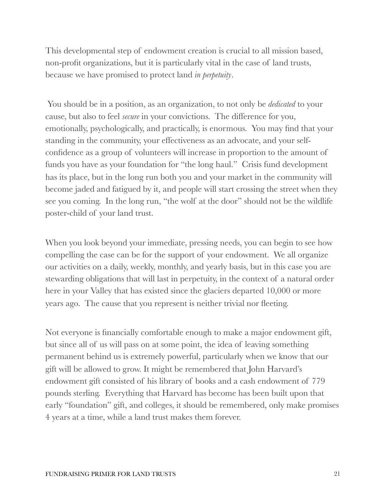This developmental step of endowment creation is crucial to all mission based, non-profit organizations, but it is particularly vital in the case of land trusts, because we have promised to protect land *in perpetuity*.

 You should be in a position, as an organization, to not only be *dedicated* to your cause, but also to feel *secure* in your convictions. The difference for you, emotionally, psychologically, and practically, is enormous. You may find that your standing in the community, your effectiveness as an advocate, and your selfconfidence as a group of volunteers will increase in proportion to the amount of funds you have as your foundation for "the long haul." Crisis fund development has its place, but in the long run both you and your market in the community will become jaded and fatigued by it, and people will start crossing the street when they see you coming. In the long run, "the wolf at the door" should not be the wildlife poster-child of your land trust.

When you look beyond your immediate, pressing needs, you can begin to see how compelling the case can be for the support of your endowment. We all organize our activities on a daily, weekly, monthly, and yearly basis, but in this case you are stewarding obligations that will last in perpetuity, in the context of a natural order here in your Valley that has existed since the glaciers departed 10,000 or more years ago. The cause that you represent is neither trivial nor fleeting.

Not everyone is financially comfortable enough to make a major endowment gift, but since all of us will pass on at some point, the idea of leaving something permanent behind us is extremely powerful, particularly when we know that our gift will be allowed to grow. It might be remembered that John Harvard's endowment gift consisted of his library of books and a cash endowment of 779 pounds sterling. Everything that Harvard has become has been built upon that early "foundation" gift, and colleges, it should be remembered, only make promises 4 years at a time, while a land trust makes them forever.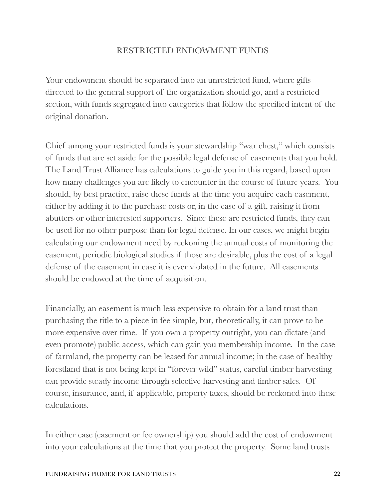## RESTRICTED ENDOWMENT FUNDS

Your endowment should be separated into an unrestricted fund, where gifts directed to the general support of the organization should go, and a restricted section, with funds segregated into categories that follow the specified intent of the original donation.

Chief among your restricted funds is your stewardship "war chest," which consists of funds that are set aside for the possible legal defense of easements that you hold. The Land Trust Alliance has calculations to guide you in this regard, based upon how many challenges you are likely to encounter in the course of future years. You should, by best practice, raise these funds at the time you acquire each easement, either by adding it to the purchase costs or, in the case of a gift, raising it from abutters or other interested supporters. Since these are restricted funds, they can be used for no other purpose than for legal defense. In our cases, we might begin calculating our endowment need by reckoning the annual costs of monitoring the easement, periodic biological studies if those are desirable, plus the cost of a legal defense of the easement in case it is ever violated in the future. All easements should be endowed at the time of acquisition.

Financially, an easement is much less expensive to obtain for a land trust than purchasing the title to a piece in fee simple, but, theoretically, it can prove to be more expensive over time. If you own a property outright, you can dictate (and even promote) public access, which can gain you membership income. In the case of farmland, the property can be leased for annual income; in the case of healthy forestland that is not being kept in "forever wild" status, careful timber harvesting can provide steady income through selective harvesting and timber sales. Of course, insurance, and, if applicable, property taxes, should be reckoned into these calculations.

In either case (easement or fee ownership) you should add the cost of endowment into your calculations at the time that you protect the property. Some land trusts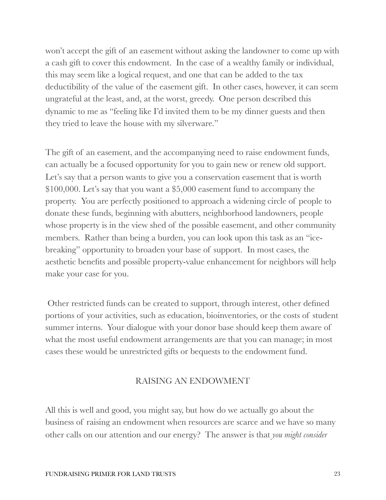won't accept the gift of an easement without asking the landowner to come up with a cash gift to cover this endowment. In the case of a wealthy family or individual, this may seem like a logical request, and one that can be added to the tax deductibility of the value of the easement gift. In other cases, however, it can seem ungrateful at the least, and, at the worst, greedy. One person described this dynamic to me as "feeling like I'd invited them to be my dinner guests and then they tried to leave the house with my silverware."

The gift of an easement, and the accompanying need to raise endowment funds, can actually be a focused opportunity for you to gain new or renew old support. Let's say that a person wants to give you a conservation easement that is worth \$100,000. Let's say that you want a \$5,000 easement fund to accompany the property. You are perfectly positioned to approach a widening circle of people to donate these funds, beginning with abutters, neighborhood landowners, people whose property is in the view shed of the possible easement, and other community members. Rather than being a burden, you can look upon this task as an "icebreaking" opportunity to broaden your base of support. In most cases, the aesthetic benefits and possible property-value enhancement for neighbors will help make your case for you.

 Other restricted funds can be created to support, through interest, other defined portions of your activities, such as education, bioinventories, or the costs of student summer interns. Your dialogue with your donor base should keep them aware of what the most useful endowment arrangements are that you can manage; in most cases these would be unrestricted gifts or bequests to the endowment fund.

## RAISING AN ENDOWMENT

All this is well and good, you might say, but how do we actually go about the business of raising an endowment when resources are scarce and we have so many other calls on our attention and our energy? The answer is that *you might consider*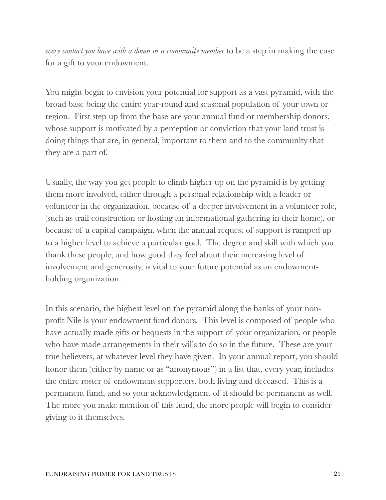*every contact you have with a donor or a community member* to be a step in making the case for a gift to your endowment.

You might begin to envision your potential for support as a vast pyramid, with the broad base being the entire year-round and seasonal population of your town or region. First step up from the base are your annual fund or membership donors, whose support is motivated by a perception or conviction that your land trust is doing things that are, in general, important to them and to the community that they are a part of.

Usually, the way you get people to climb higher up on the pyramid is by getting them more involved, either through a personal relationship with a leader or volunteer in the organization, because of a deeper involvement in a volunteer role, (such as trail construction or hosting an informational gathering in their home), or because of a capital campaign, when the annual request of support is ramped up to a higher level to achieve a particular goal. The degree and skill with which you thank these people, and how good they feel about their increasing level of involvement and generosity, is vital to your future potential as an endowmentholding organization.

In this scenario, the highest level on the pyramid along the banks of your nonprofit Nile is your endowment fund donors. This level is composed of people who have actually made gifts or bequests in the support of your organization, or people who have made arrangements in their wills to do so in the future. These are your true believers, at whatever level they have given. In your annual report, you should honor them (either by name or as "anonymous") in a list that, every year, includes the entire roster of endowment supporters, both living and deceased. This is a permanent fund, and so your acknowledgment of it should be permanent as well. The more you make mention of this fund, the more people will begin to consider giving to it themselves.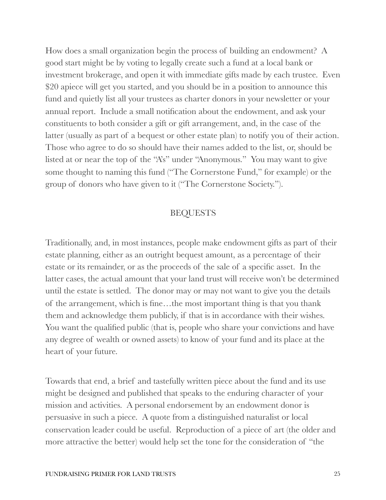How does a small organization begin the process of building an endowment? A good start might be by voting to legally create such a fund at a local bank or investment brokerage, and open it with immediate gifts made by each trustee. Even \$20 apiece will get you started, and you should be in a position to announce this fund and quietly list all your trustees as charter donors in your newsletter or your annual report. Include a small notification about the endowment, and ask your constituents to both consider a gift or gift arrangement, and, in the case of the latter (usually as part of a bequest or other estate plan) to notify you of their action. Those who agree to do so should have their names added to the list, or, should be listed at or near the top of the "A's" under "Anonymous." You may want to give some thought to naming this fund ("The Cornerstone Fund," for example) or the group of donors who have given to it ("The Cornerstone Society.").

#### BEQUESTS

Traditionally, and, in most instances, people make endowment gifts as part of their estate planning, either as an outright bequest amount, as a percentage of their estate or its remainder, or as the proceeds of the sale of a specific asset. In the latter cases, the actual amount that your land trust will receive won't be determined until the estate is settled. The donor may or may not want to give you the details of the arrangement, which is fine…the most important thing is that you thank them and acknowledge them publicly, if that is in accordance with their wishes. You want the qualified public (that is, people who share your convictions and have any degree of wealth or owned assets) to know of your fund and its place at the heart of your future.

Towards that end, a brief and tastefully written piece about the fund and its use might be designed and published that speaks to the enduring character of your mission and activities. A personal endorsement by an endowment donor is persuasive in such a piece. A quote from a distinguished naturalist or local conservation leader could be useful. Reproduction of a piece of art (the older and more attractive the better) would help set the tone for the consideration of "the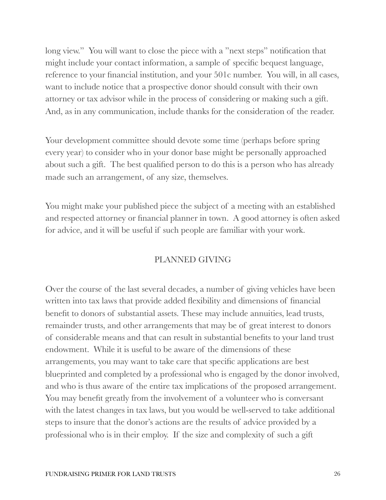long view." You will want to close the piece with a "next steps" notification that might include your contact information, a sample of specific bequest language, reference to your financial institution, and your 501c number. You will, in all cases, want to include notice that a prospective donor should consult with their own attorney or tax advisor while in the process of considering or making such a gift. And, as in any communication, include thanks for the consideration of the reader.

Your development committee should devote some time (perhaps before spring every year) to consider who in your donor base might be personally approached about such a gift. The best qualified person to do this is a person who has already made such an arrangement, of any size, themselves.

You might make your published piece the subject of a meeting with an established and respected attorney or financial planner in town. A good attorney is often asked for advice, and it will be useful if such people are familiar with your work.

## PLANNED GIVING

Over the course of the last several decades, a number of giving vehicles have been written into tax laws that provide added flexibility and dimensions of financial benefit to donors of substantial assets. These may include annuities, lead trusts, remainder trusts, and other arrangements that may be of great interest to donors of considerable means and that can result in substantial benefits to your land trust endowment. While it is useful to be aware of the dimensions of these arrangements, you may want to take care that specific applications are best blueprinted and completed by a professional who is engaged by the donor involved, and who is thus aware of the entire tax implications of the proposed arrangement. You may benefit greatly from the involvement of a volunteer who is conversant with the latest changes in tax laws, but you would be well-served to take additional steps to insure that the donor's actions are the results of advice provided by a professional who is in their employ. If the size and complexity of such a gift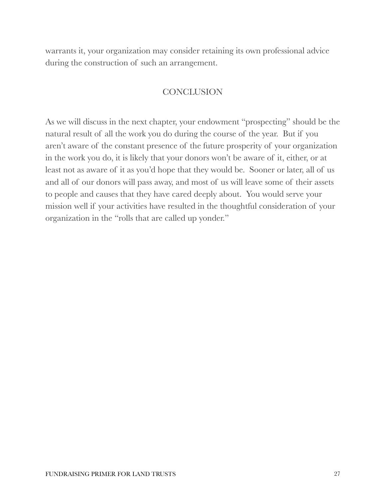warrants it, your organization may consider retaining its own professional advice during the construction of such an arrangement.

## **CONCLUSION**

As we will discuss in the next chapter, your endowment "prospecting" should be the natural result of all the work you do during the course of the year. But if you aren't aware of the constant presence of the future prosperity of your organization in the work you do, it is likely that your donors won't be aware of it, either, or at least not as aware of it as you'd hope that they would be. Sooner or later, all of us and all of our donors will pass away, and most of us will leave some of their assets to people and causes that they have cared deeply about. You would serve your mission well if your activities have resulted in the thoughtful consideration of your organization in the "rolls that are called up yonder."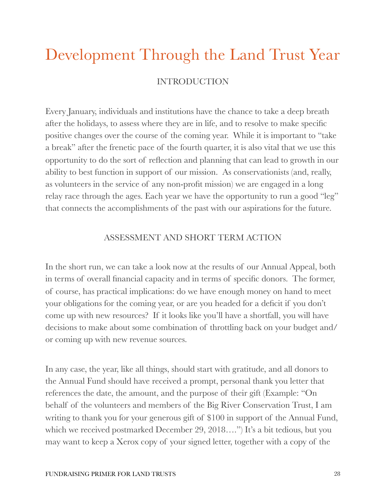## Development Through the Land Trust Year INTRODUCTION

Every January, individuals and institutions have the chance to take a deep breath after the holidays, to assess where they are in life, and to resolve to make specific positive changes over the course of the coming year. While it is important to "take a break" after the frenetic pace of the fourth quarter, it is also vital that we use this opportunity to do the sort of reflection and planning that can lead to growth in our ability to best function in support of our mission. As conservationists (and, really, as volunteers in the service of any non-profit mission) we are engaged in a long relay race through the ages. Each year we have the opportunity to run a good "leg" that connects the accomplishments of the past with our aspirations for the future.

## ASSESSMENT AND SHORT TERM ACTION

In the short run, we can take a look now at the results of our Annual Appeal, both in terms of overall financial capacity and in terms of specific donors. The former, of course, has practical implications: do we have enough money on hand to meet your obligations for the coming year, or are you headed for a deficit if you don't come up with new resources? If it looks like you'll have a shortfall, you will have decisions to make about some combination of throttling back on your budget and/ or coming up with new revenue sources.

In any case, the year, like all things, should start with gratitude, and all donors to the Annual Fund should have received a prompt, personal thank you letter that references the date, the amount, and the purpose of their gift (Example: "On behalf of the volunteers and members of the Big River Conservation Trust, I am writing to thank you for your generous gift of \$100 in support of the Annual Fund, which we received postmarked December 29, 2018….") It's a bit tedious, but you may want to keep a Xerox copy of your signed letter, together with a copy of the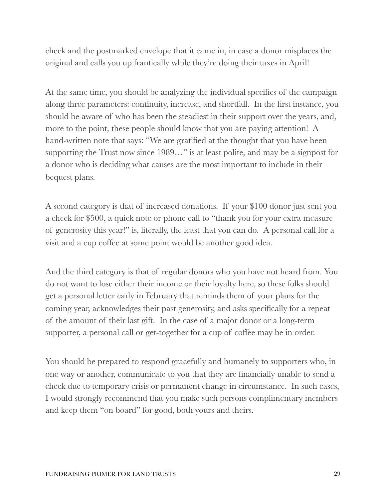check and the postmarked envelope that it came in, in case a donor misplaces the original and calls you up frantically while they're doing their taxes in April!

At the same time, you should be analyzing the individual specifics of the campaign along three parameters: continuity, increase, and shortfall. In the first instance, you should be aware of who has been the steadiest in their support over the years, and, more to the point, these people should know that you are paying attention! A hand-written note that says: "We are gratified at the thought that you have been supporting the Trust now since 1989…" is at least polite, and may be a signpost for a donor who is deciding what causes are the most important to include in their bequest plans.

A second category is that of increased donations. If your \$100 donor just sent you a check for \$500, a quick note or phone call to "thank you for your extra measure of generosity this year!" is, literally, the least that you can do. A personal call for a visit and a cup coffee at some point would be another good idea.

And the third category is that of regular donors who you have not heard from. You do not want to lose either their income or their loyalty here, so these folks should get a personal letter early in February that reminds them of your plans for the coming year, acknowledges their past generosity, and asks specifically for a repeat of the amount of their last gift. In the case of a major donor or a long-term supporter, a personal call or get-together for a cup of coffee may be in order.

You should be prepared to respond gracefully and humanely to supporters who, in one way or another, communicate to you that they are financially unable to send a check due to temporary crisis or permanent change in circumstance. In such cases, I would strongly recommend that you make such persons complimentary members and keep them "on board" for good, both yours and theirs.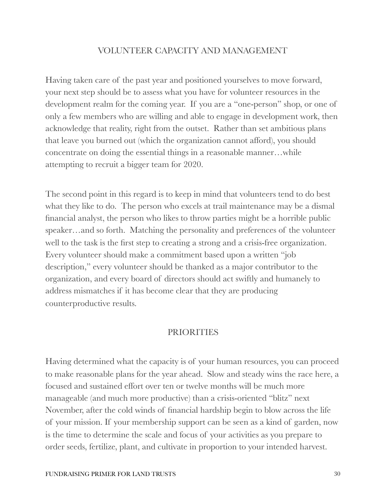### VOLUNTEER CAPACITY AND MANAGEMENT

Having taken care of the past year and positioned yourselves to move forward, your next step should be to assess what you have for volunteer resources in the development realm for the coming year. If you are a "one-person" shop, or one of only a few members who are willing and able to engage in development work, then acknowledge that reality, right from the outset. Rather than set ambitious plans that leave you burned out (which the organization cannot afford), you should concentrate on doing the essential things in a reasonable manner…while attempting to recruit a bigger team for 2020.

The second point in this regard is to keep in mind that volunteers tend to do best what they like to do. The person who excels at trail maintenance may be a dismal financial analyst, the person who likes to throw parties might be a horrible public speaker…and so forth. Matching the personality and preferences of the volunteer well to the task is the first step to creating a strong and a crisis-free organization. Every volunteer should make a commitment based upon a written "job description," every volunteer should be thanked as a major contributor to the organization, and every board of directors should act swiftly and humanely to address mismatches if it has become clear that they are producing counterproductive results.

#### **PRIORITIES**

Having determined what the capacity is of your human resources, you can proceed to make reasonable plans for the year ahead. Slow and steady wins the race here, a focused and sustained effort over ten or twelve months will be much more manageable (and much more productive) than a crisis-oriented "blitz" next November, after the cold winds of financial hardship begin to blow across the life of your mission. If your membership support can be seen as a kind of garden, now is the time to determine the scale and focus of your activities as you prepare to order seeds, fertilize, plant, and cultivate in proportion to your intended harvest.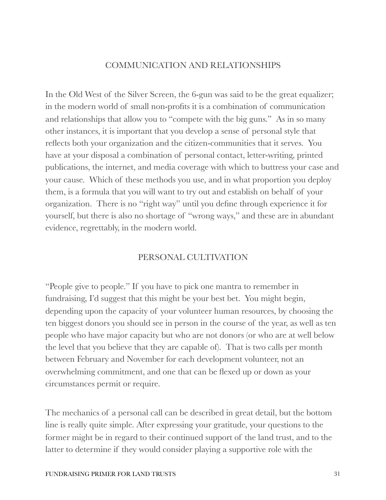## COMMUNICATION AND RELATIONSHIPS

In the Old West of the Silver Screen, the 6-gun was said to be the great equalizer; in the modern world of small non-profits it is a combination of communication and relationships that allow you to "compete with the big guns." As in so many other instances, it is important that you develop a sense of personal style that reflects both your organization and the citizen-communities that it serves. You have at your disposal a combination of personal contact, letter-writing, printed publications, the internet, and media coverage with which to buttress your case and your cause. Which of these methods you use, and in what proportion you deploy them, is a formula that you will want to try out and establish on behalf of your organization. There is no "right way" until you define through experience it for yourself, but there is also no shortage of "wrong ways," and these are in abundant evidence, regrettably, in the modern world.

#### PERSONAL CULTIVATION

"People give to people." If you have to pick one mantra to remember in fundraising, I'd suggest that this might be your best bet. You might begin, depending upon the capacity of your volunteer human resources, by choosing the ten biggest donors you should see in person in the course of the year, as well as ten people who have major capacity but who are not donors (or who are at well below the level that you believe that they are capable of). That is two calls per month between February and November for each development volunteer, not an overwhelming commitment, and one that can be flexed up or down as your circumstances permit or require.

The mechanics of a personal call can be described in great detail, but the bottom line is really quite simple. After expressing your gratitude, your questions to the former might be in regard to their continued support of the land trust, and to the latter to determine if they would consider playing a supportive role with the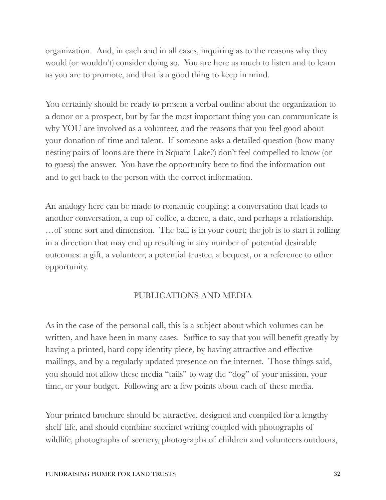organization. And, in each and in all cases, inquiring as to the reasons why they would (or wouldn't) consider doing so. You are here as much to listen and to learn as you are to promote, and that is a good thing to keep in mind.

You certainly should be ready to present a verbal outline about the organization to a donor or a prospect, but by far the most important thing you can communicate is why YOU are involved as a volunteer, and the reasons that you feel good about your donation of time and talent. If someone asks a detailed question (how many nesting pairs of loons are there in Squam Lake?) don't feel compelled to know (or to guess) the answer. You have the opportunity here to find the information out and to get back to the person with the correct information.

An analogy here can be made to romantic coupling: a conversation that leads to another conversation, a cup of coffee, a dance, a date, and perhaps a relationship. …of some sort and dimension. The ball is in your court; the job is to start it rolling in a direction that may end up resulting in any number of potential desirable outcomes: a gift, a volunteer, a potential trustee, a bequest, or a reference to other opportunity.

## PUBLICATIONS AND MEDIA

As in the case of the personal call, this is a subject about which volumes can be written, and have been in many cases. Suffice to say that you will benefit greatly by having a printed, hard copy identity piece, by having attractive and effective mailings, and by a regularly updated presence on the internet. Those things said, you should not allow these media "tails" to wag the "dog" of your mission, your time, or your budget. Following are a few points about each of these media.

Your printed brochure should be attractive, designed and compiled for a lengthy shelf life, and should combine succinct writing coupled with photographs of wildlife, photographs of scenery, photographs of children and volunteers outdoors,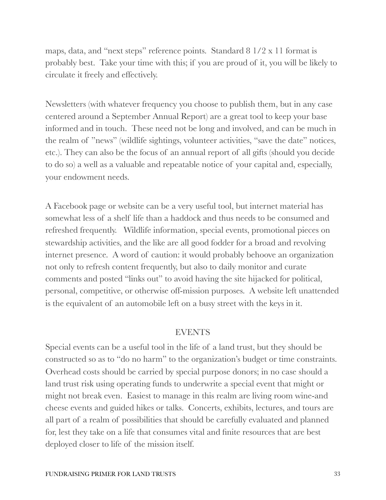maps, data, and "next steps" reference points. Standard 8 1/2 x 11 format is probably best. Take your time with this; if you are proud of it, you will be likely to circulate it freely and effectively.

Newsletters (with whatever frequency you choose to publish them, but in any case centered around a September Annual Report) are a great tool to keep your base informed and in touch. These need not be long and involved, and can be much in the realm of "news" (wildlife sightings, volunteer activities, "save the date" notices, etc.). They can also be the focus of an annual report of all gifts (should you decide to do so) a well as a valuable and repeatable notice of your capital and, especially, your endowment needs.

A Facebook page or website can be a very useful tool, but internet material has somewhat less of a shelf life than a haddock and thus needs to be consumed and refreshed frequently. Wildlife information, special events, promotional pieces on stewardship activities, and the like are all good fodder for a broad and revolving internet presence. A word of caution: it would probably behoove an organization not only to refresh content frequently, but also to daily monitor and curate comments and posted "links out" to avoid having the site hijacked for political, personal, competitive, or otherwise off-mission purposes. A website left unattended is the equivalent of an automobile left on a busy street with the keys in it.

#### EVENTS

Special events can be a useful tool in the life of a land trust, but they should be constructed so as to "do no harm" to the organization's budget or time constraints. Overhead costs should be carried by special purpose donors; in no case should a land trust risk using operating funds to underwrite a special event that might or might not break even. Easiest to manage in this realm are living room wine-and cheese events and guided hikes or talks. Concerts, exhibits, lectures, and tours are all part of a realm of possibilities that should be carefully evaluated and planned for, lest they take on a life that consumes vital and finite resources that are best deployed closer to life of the mission itself.